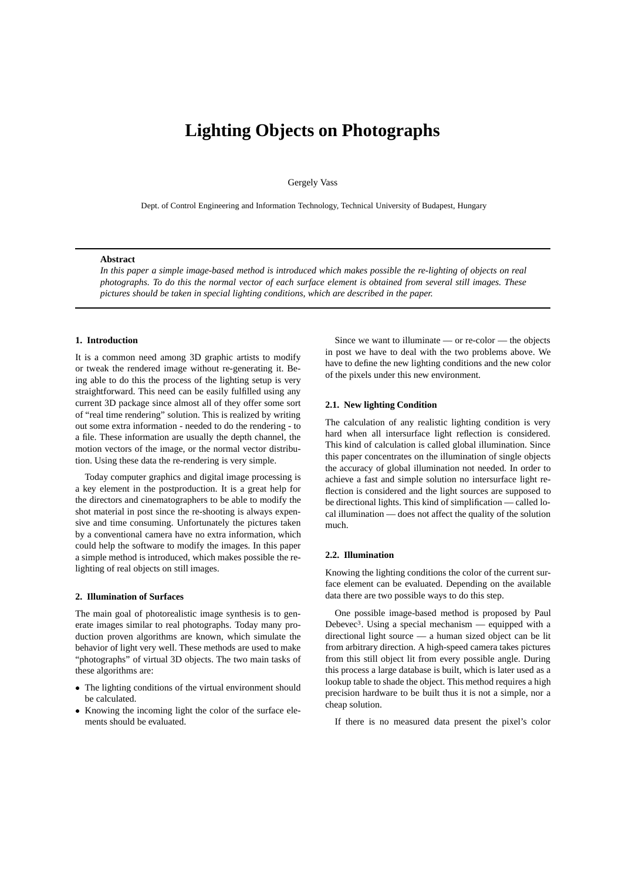# **Lighting Objects on Photographs**

Gergely Vass

Dept. of Control Engineering and Information Technology, Technical University of Budapest, Hungary

#### **Abstract**

*In this paper a simple image-based method is introduced which makes possible the re-lighting of objects on real photographs. To do this the normal vector of each surface element is obtained from several still images. These pictures should be taken in special lighting conditions, which are described in the paper.*

## **1. Introduction**

It is a common need among 3D graphic artists to modify or tweak the rendered image without re-generating it. Being able to do this the process of the lighting setup is very straightforward. This need can be easily fulfilled using any current 3D package since almost all of they offer some sort of "real time rendering" solution. This is realized by writing out some extra information - needed to do the rendering - to a file. These information are usually the depth channel, the motion vectors of the image, or the normal vector distribution. Using these data the re-rendering is very simple.

Today computer graphics and digital image processing is a key element in the postproduction. It is a great help for the directors and cinematographers to be able to modify the shot material in post since the re-shooting is always expensive and time consuming. Unfortunately the pictures taken by a conventional camera have no extra information, which could help the software to modify the images. In this paper a simple method is introduced, which makes possible the relighting of real objects on still images.

#### **2. Illumination of Surfaces**

The main goal of photorealistic image synthesis is to generate images similar to real photographs. Today many production proven algorithms are known, which simulate the behavior of light very well. These methods are used to make "photographs" of virtual 3D objects. The two main tasks of these algorithms are:

- The lighting conditions of the virtual environment should be calculated.
- Knowing the incoming light the color of the surface elements should be evaluated.

Since we want to illuminate — or re-color — the objects in post we have to deal with the two problems above. We have to define the new lighting conditions and the new color of the pixels under this new environment.

### **2.1. New lighting Condition**

The calculation of any realistic lighting condition is very hard when all intersurface light reflection is considered. This kind of calculation is called global illumination. Since this paper concentrates on the illumination of single objects the accuracy of global illumination not needed. In order to achieve a fast and simple solution no intersurface light reflection is considered and the light sources are supposed to be directional lights. This kind of simplification — called local illumination — does not affect the quality of the solution much.

## **2.2. Illumination**

Knowing the lighting conditions the color of the current surface element can be evaluated. Depending on the available data there are two possible ways to do this step.

One possible image-based method is proposed by Paul Debevec<sup>3</sup>. Using a special mechanism — equipped with a directional light source — a human sized object can be lit from arbitrary direction. A high-speed camera takes pictures from this still object lit from every possible angle. During this process a large database is built, which is later used as a lookup table to shade the object. This method requires a high precision hardware to be built thus it is not a simple, nor a cheap solution.

If there is no measured data present the pixel's color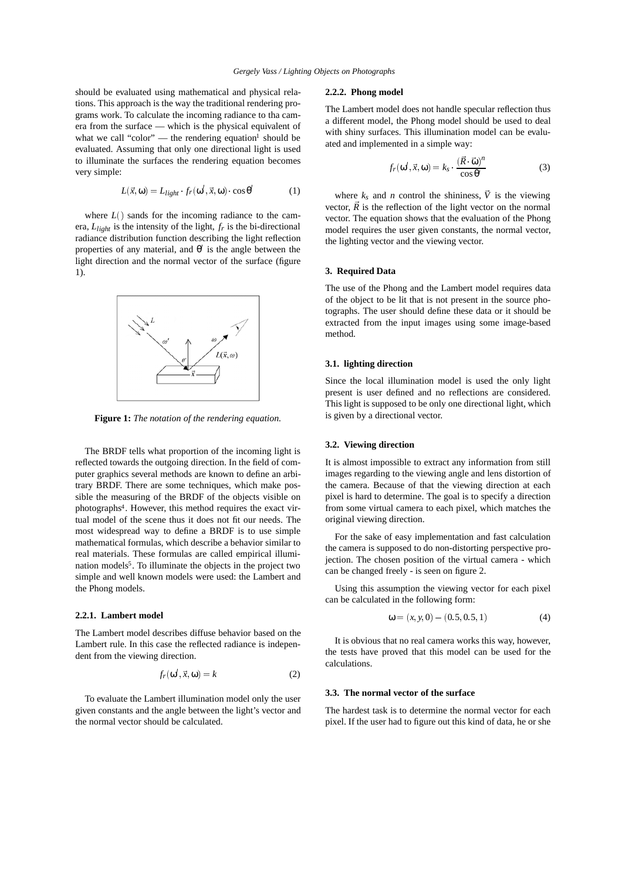should be evaluated using mathematical and physical relations. This approach is the way the traditional rendering programs work. To calculate the incoming radiance to tha camera from the surface — which is the physical equivalent of what we call "color" — the rendering equation<sup>1</sup> should be evaluated. Assuming that only one directional light is used to illuminate the surfaces the rendering equation becomes very simple:

$$
L(\vec{x}, \omega) = L_{light} \cdot f_r(\omega', \vec{x}, \omega) \cdot \cos \theta'
$$
 (1)

where  $L()$  sands for the incoming radiance to the camera,  $L_{light}$  is the intensity of the light,  $f_r$  is the bi-directional radiance distribution function describing the light reflection properties of any material, and  $\theta'$  is the angle between the light direction and the normal vector of the surface (figure 1).



**Figure 1:** *The notation of the rendering equation.*

The BRDF tells what proportion of the incoming light is reflected towards the outgoing direction. In the field of computer graphics several methods are known to define an arbitrary BRDF. There are some techniques, which make possible the measuring of the BRDF of the objects visible on photographs4. However, this method requires the exact virtual model of the scene thus it does not fit our needs. The most widespread way to define a BRDF is to use simple mathematical formulas, which describe a behavior similar to real materials. These formulas are called empirical illumination models<sup>5</sup>. To illuminate the objects in the project two simple and well known models were used: the Lambert and the Phong models.

#### **2.2.1. Lambert model**

The Lambert model describes diffuse behavior based on the Lambert rule. In this case the reflected radiance is independent from the viewing direction.

$$
f_r(\omega', \vec{x}, \omega) = k \tag{2}
$$

To evaluate the Lambert illumination model only the user given constants and the angle between the light's vector and the normal vector should be calculated.

#### **2.2.2. Phong model**

The Lambert model does not handle specular reflection thus a different model, the Phong model should be used to deal with shiny surfaces. This illumination model can be evaluated and implemented in a simple way:

$$
f_r(\omega', \vec{x}, \omega) = k_s \cdot \frac{(\vec{R} \cdot \vec{\omega})^n}{\cos \theta'} \tag{3}
$$

where  $k_s$  and *n* control the shininess,  $\vec{V}$  is the viewing vector,  $\vec{R}$  is the reflection of the light vector on the normal vector. The equation shows that the evaluation of the Phong model requires the user given constants, the normal vector, the lighting vector and the viewing vector.

# **3. Required Data**

The use of the Phong and the Lambert model requires data of the object to be lit that is not present in the source photographs. The user should define these data or it should be extracted from the input images using some image-based method.

#### **3.1. lighting direction**

Since the local illumination model is used the only light present is user defined and no reflections are considered. This light is supposed to be only one directional light, which is given by a directional vector.

#### **3.2. Viewing direction**

It is almost impossible to extract any information from still images regarding to the viewing angle and lens distortion of the camera. Because of that the viewing direction at each pixel is hard to determine. The goal is to specify a direction from some virtual camera to each pixel, which matches the original viewing direction.

For the sake of easy implementation and fast calculation the camera is supposed to do non-distorting perspective projection. The chosen position of the virtual camera - which can be changed freely - is seen on figure 2.

Using this assumption the viewing vector for each pixel can be calculated in the following form:

$$
\omega = (x, y, 0) - (0.5, 0.5, 1) \tag{4}
$$

It is obvious that no real camera works this way, however, the tests have proved that this model can be used for the calculations.

## **3.3. The normal vector of the surface**

The hardest task is to determine the normal vector for each pixel. If the user had to figure out this kind of data, he or she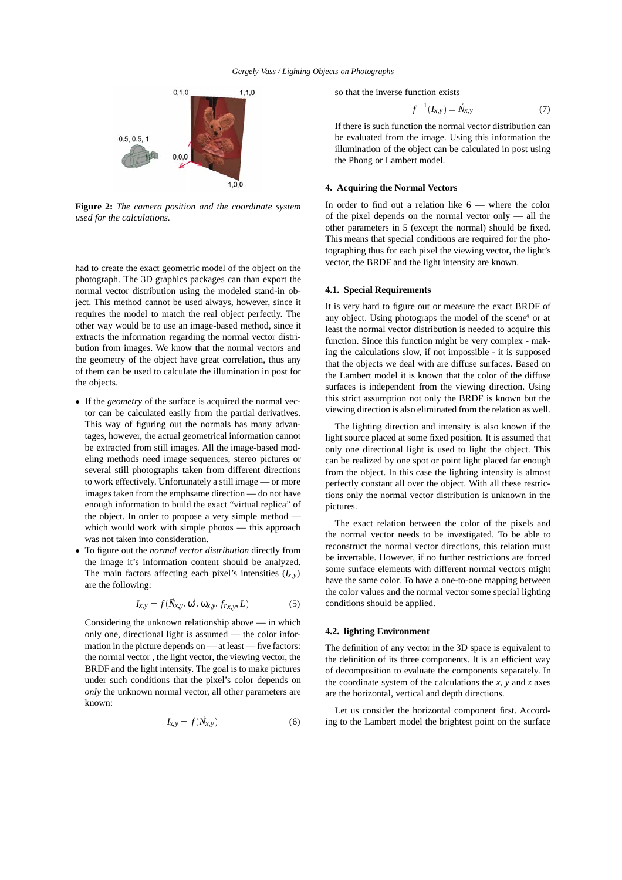

**Figure 2:** *The camera position and the coordinate system used for the calculations.*

had to create the exact geometric model of the object on the photograph. The 3D graphics packages can than export the normal vector distribution using the modeled stand-in object. This method cannot be used always, however, since it requires the model to match the real object perfectly. The other way would be to use an image-based method, since it extracts the information regarding the normal vector distribution from images. We know that the normal vectors and the geometry of the object have great correlation, thus any of them can be used to calculate the illumination in post for the objects.

- If the *geometry* of the surface is acquired the normal vector can be calculated easily from the partial derivatives. This way of figuring out the normals has many advantages, however, the actual geometrical information cannot be extracted from still images. All the image-based modeling methods need image sequences, stereo pictures or several still photographs taken from different directions to work effectively. Unfortunately a still image — or more images taken from the emphsame direction — do not have enough information to build the exact "virtual replica" of the object. In order to propose a very simple method which would work with simple photos — this approach was not taken into consideration.
- To figure out the *normal vector distribution* directly from the image it's information content should be analyzed. The main factors affecting each pixel's intensities  $(I_{x,y})$ are the following:

$$
I_{x,y} = f(\vec{N}_{x,y}, \omega', \omega_{x,y}, f_{r_{x,y}}, L) \tag{5}
$$

Considering the unknown relationship above — in which only one, directional light is assumed — the color information in the picture depends on — at least — five factors: the normal vector , the light vector, the viewing vector, the BRDF and the light intensity. The goal is to make pictures under such conditions that the pixel's color depends on *only* the unknown normal vector, all other parameters are known:

$$
I_{x,y} = f(\vec{N}_{x,y}) \tag{6}
$$

so that the inverse function exists

$$
f^{-1}(I_{x,y}) = \vec{N}_{x,y} \tag{7}
$$

If there is such function the normal vector distribution can be evaluated from the image. Using this information the illumination of the object can be calculated in post using the Phong or Lambert model.

## **4. Acquiring the Normal Vectors**

In order to find out a relation like 6 — where the color of the pixel depends on the normal vector only — all the other parameters in 5 (except the normal) should be fixed. This means that special conditions are required for the photographing thus for each pixel the viewing vector, the light's vector, the BRDF and the light intensity are known.

## **4.1. Special Requirements**

It is very hard to figure out or measure the exact BRDF of any object. Using photograps the model of the scene<sup>4</sup> or at least the normal vector distribution is needed to acquire this function. Since this function might be very complex - making the calculations slow, if not impossible - it is supposed that the objects we deal with are diffuse surfaces. Based on the Lambert model it is known that the color of the diffuse surfaces is independent from the viewing direction. Using this strict assumption not only the BRDF is known but the viewing direction is also eliminated from the relation as well.

The lighting direction and intensity is also known if the light source placed at some fixed position. It is assumed that only one directional light is used to light the object. This can be realized by one spot or point light placed far enough from the object. In this case the lighting intensity is almost perfectly constant all over the object. With all these restrictions only the normal vector distribution is unknown in the pictures.

The exact relation between the color of the pixels and the normal vector needs to be investigated. To be able to reconstruct the normal vector directions, this relation must be invertable. However, if no further restrictions are forced some surface elements with different normal vectors might have the same color. To have a one-to-one mapping between the color values and the normal vector some special lighting conditions should be applied.

#### **4.2. lighting Environment**

The definition of any vector in the 3D space is equivalent to the definition of its three components. It is an efficient way of decomposition to evaluate the components separately. In the coordinate system of the calculations the *x*,  $y$  and  $z$  axes are the horizontal, vertical and depth directions.

Let us consider the horizontal component first. According to the Lambert model the brightest point on the surface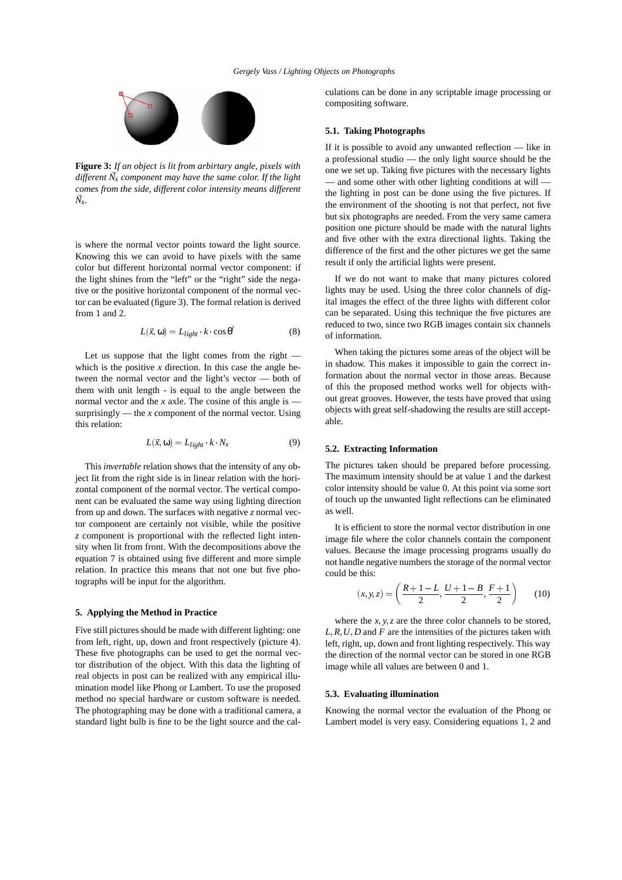

**Figure 3:** *If an object is lit from arbirtary angle, pixels with different N x component may have the same color. If the light comes from the side, different color intensity means different N x.*

is where the normal vector points toward the light source. Knowing this we can avoid to have pixels with the same color but different horizontal normal vector component: if the light shines from the "left" or the "right" side the negative or the positive horizontal component of the normal vector can be evaluated (figure 3). The formal relation is derived from 1 and 2.

$$
L(\vec{x}, \omega) = L_{light} \cdot k \cdot \cos \theta' \tag{8}
$$

Let us suppose that the light comes from the right which is the positive  $x$  direction. In this case the angle between the normal vector and the light's vector — both of them with unit length - is equal to the angle between the normal vector and the  $x$  axle. The cosine of this angle is  $$ surprisingly — the *x* component of the normal vector. Using this relation:

$$
L(\vec{x}, \omega) = L_{light} \cdot k \cdot N_x \tag{9}
$$

This *invertable* relation shows that the intensity of any object lit from the right side is in linear relation with the horizontal component of the normal vector. The vertical component can be evaluated the same way using lighting direction from up and down. The surfaces with negative *z* normal vector component are certainly not visible, while the positive *z* component is proportional with the reflected light intensity when lit from front. With the decompositions above the equation 7 is obtained using five different and more simple relation. In practice this means that not one but five photographs will be input for the algorithm.

## **5. Applying the Method in Practice**

Five still pictures should be made with different lighting: one from left, right, up, down and front respectively (picture 4). These five photographs can be used to get the normal vector distribution of the object. With this data the lighting of real objects in post can be realized with any empirical illumination model like Phong or Lambert. To use the proposed method no special hardware or custom software is needed. The photographing may be done with a traditional camera, a standard light bulb is fine to be the light source and the calculations can be done in any scriptable image processing or compositing software.

## **5.1. Taking Photographs**

If it is possible to avoid any unwanted reflection — like in a professional studio — the only light source should be the one we set up. Taking five pictures with the necessary lights — and some other with other lighting conditions at will the lighting in post can be done using the five pictures. If the environment of the shooting is not that perfect, not five but six photographs are needed. From the very same camera position one picture should be made with the natural lights and five other with the extra directional lights. Taking the difference of the first and the other pictures we get the same result if only the artificial lights were present.

If we do not want to make that many pictures colored lights may be used. Using the three color channels of digital images the effect of the three lights with different color can be separated. Using this technique the five pictures are reduced to two, since two RGB images contain six channels of information.

When taking the pictures some areas of the object will be in shadow. This makes it impossible to gain the correct information about the normal vector in those areas. Because of this the proposed method works well for objects without great grooves. However, the tests have proved that using objects with great self-shadowing the results are still acceptable.

#### **5.2. Extracting Information**

The pictures taken should be prepared before processing. The maximum intensity should be at value 1 and the darkest color intensity should be value 0. At this point via some sort of touch up the unwanted light reflections can be eliminated as well.

It is efficient to store the normal vector distribution in one image file where the color channels contain the component values. Because the image processing programs usually do not handle negative numbers the storage of the normal vector could be this:

$$
(x, y, z) = \left(\frac{R+1-L}{2}, \frac{U+1-B}{2}, \frac{F+1}{2}\right) \tag{10}
$$

where the  $x, y, z$  are the three color channels to be stored,  $L, R, U, D$  and  $F$  are the intensities of the pictures taken with left, right, up, down and front lighting respectively. This way the direction of the normal vector can be stored in one RGB image while all values are between 0 and 1.

#### **5.3. Evaluating illumination**

Knowing the normal vector the evaluation of the Phong or Lambert model is very easy. Considering equations 1, 2 and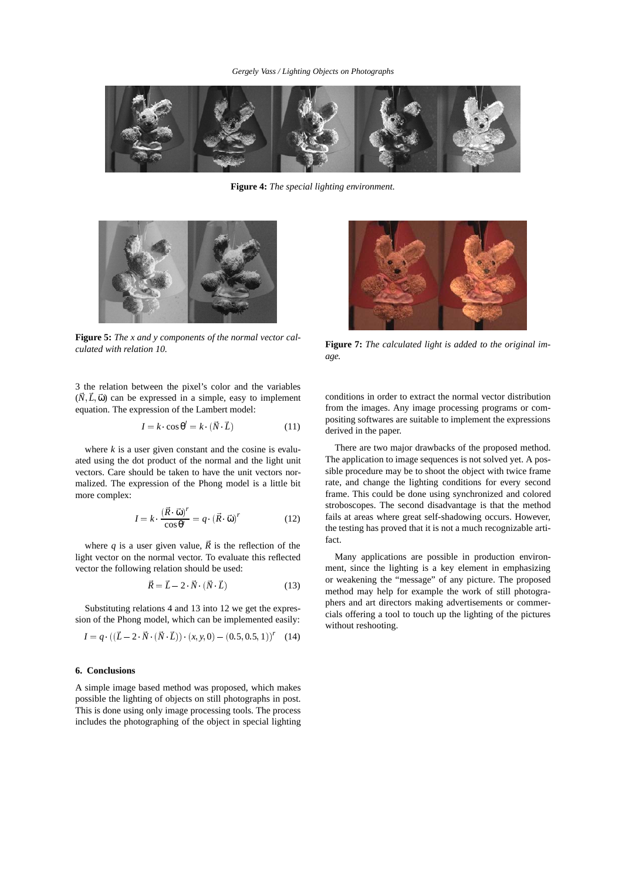

**Figure 4:** *The special lighting environment.*



**Figure 5:** *The x and y components of the normal vector calculated with relation 10.*



**Figure 7:** *The calculated light is added to the original image.*

3 the relation between the pixel's color and the variables  $(N, L, \vec{\omega})$  can be expressed in a simple, easy to implement equation. The expression of the Lambert model:

$$
I = k \cos \theta' = k \cdot (\vec{N} \cdot \vec{L}) \tag{11}
$$

where  $k$  is a user given constant and the cosine is evaluated using the dot product of the normal and the light unit vectors. Care should be taken to have the unit vectors normalized. The expression of the Phong model is a little bit more complex:

$$
I = k \cdot \frac{(\vec{R} \cdot \vec{\omega})^r}{\cos \theta'} = q \cdot (\vec{R} \cdot \vec{\omega})^r \tag{12}
$$

where *q* is a user given value,  $\vec{R}$  is the reflection of the light vector on the normal vector. To evaluate this reflected vector the following relation should be used:

$$
\vec{R} = \vec{L} - 2 \vec{N} \left( \vec{N} \cdot \vec{L} \right) \tag{13}
$$

Substituting relations 4 and 13 into 12 we get the expression of the Phong model, which can be implemented easily:

$$
I = q \cdot ((\vec{L} - 2 \cdot \vec{N} \cdot (\vec{N} \cdot \vec{L})) \cdot (x, y, 0) - (0.5, 0.5, 1))^r \tag{14}
$$

## **6. Conclusions**

A simple image based method was proposed, which makes possible the lighting of objects on still photographs in post. This is done using only image processing tools. The process includes the photographing of the object in special lighting

conditions in order to extract the normal vector distribution from the images. Any image processing programs or compositing softwares are suitable to implement the expressions derived in the paper.

There are two major drawbacks of the proposed method. The application to image sequences is not solved yet. A possible procedure may be to shoot the object with twice frame rate, and change the lighting conditions for every second frame. This could be done using synchronized and colored stroboscopes. The second disadvantage is that the method fails at areas where great self-shadowing occurs. However, the testing has proved that it is not a much recognizable artifact.

Many applications are possible in production environment, since the lighting is a key element in emphasizing or weakening the "message" of any picture. The proposed method may help for example the work of still photographers and art directors making advertisements or commercials offering a tool to touch up the lighting of the pictures without reshooting.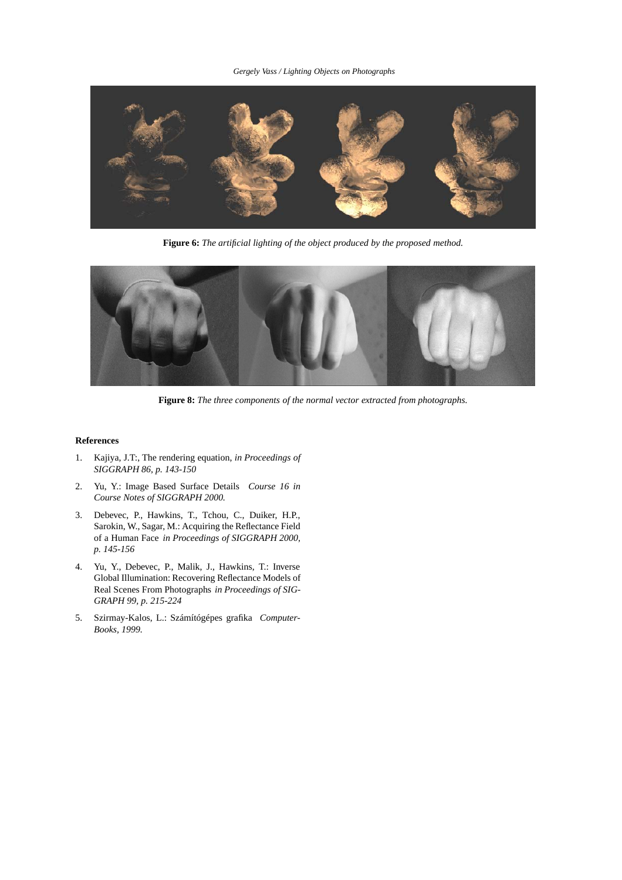## *Gergely Vass / Lighting Objects on Photographs*



**Figure 6:** *The artificial lighting of the object produced by the proposed method.*



**Figure 8:** *The three components of the normal vector extracted from photographs.*

## **References**

- 1. Kajiya, J.T:, The rendering equation, *in Proceedings of SIGGRAPH 86, p. 143-150*
- 2. Yu, Y.: Image Based Surface Details *Course 16 in Course Notes of SIGGRAPH 2000.*
- 3. Debevec, P., Hawkins, T., Tchou, C., Duiker, H.P., Sarokin, W., Sagar, M.: Acquiring the Reflectance Field of a Human Face *in Proceedings of SIGGRAPH 2000, p. 145-156*
- 4. Yu, Y., Debevec, P., Malik, J., Hawkins, T.: Inverse Global Illumination: Recovering Reflectance Models of Real Scenes From Photographs *in Proceedings of SIG-GRAPH 99, p. 215-224*
- 5. Szirmay-Kalos, L.: Számítógépes grafika *Computer-Books, 1999.*